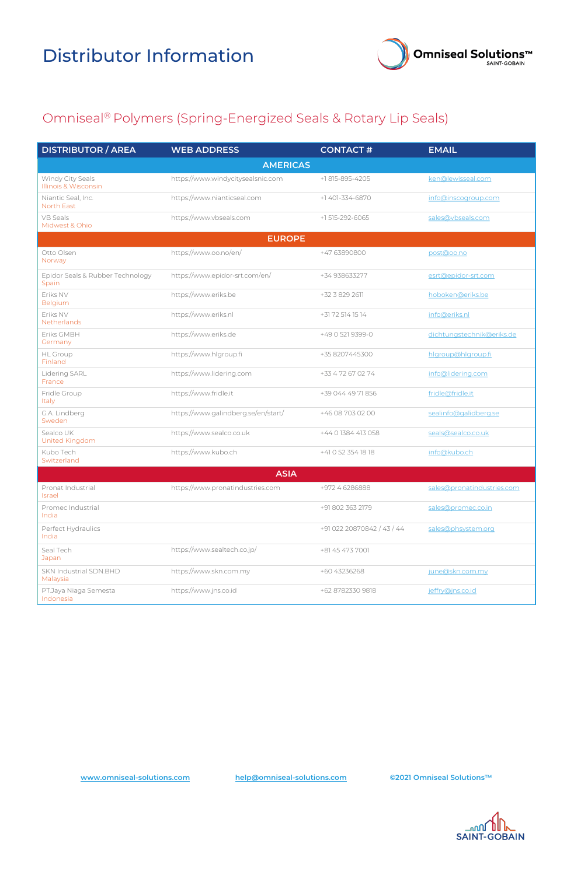



| <b>DISTRIBUTOR / AREA</b>                           | <b>WEB ADDRESS</b>                  | <b>CONTACT#</b>            | <b>EMAIL</b>               |
|-----------------------------------------------------|-------------------------------------|----------------------------|----------------------------|
|                                                     | <b>AMERICAS</b>                     |                            |                            |
| Windy City Seals<br><b>Illinois &amp; Wisconsin</b> | https://www.windycitysealsnic.com   | +1 815-895-4205            | ken@lewisseal.com          |
| Niantic Seal, Inc.<br>North East                    | https://www.nianticseal.com         | +1 401-334-6870            | info@inscogroup.com        |
| <b>VB Seals</b><br>Midwest & Ohio                   | https://www.vbseals.com             | +1 515-292-6065            | sales@vbseals.com          |
|                                                     | <b>EUROPE</b>                       |                            |                            |
| Otto Olsen<br>Norway                                | https://www.oo.no/en/               | +47 63890800               | post@oo.no                 |
| Epidor Seals & Rubber Technology<br>Spain           | https://www.epidor-srt.com/en/      | +34 938633277              | esrt@epidor-srt.com        |
| Eriks NV<br>Belgium                                 | https://www.eriks.be                | +32 3 829 2611             | hoboken@eriks.be           |
| Eriks NV<br>Netherlands                             | https://www.eriks.nl                | +31 72 514 15 14           | info@eriks.nl              |
| Eriks GMBH<br>Germany                               | https://www.eriks.de                | +49 0 521 9399-0           | dichtungstechnik@eriks.de  |
| <b>HL</b> Group<br>Finland                          | https://www.hlgroup.fi              | +35 8207445300             | hlgroup@hlgroup.fi         |
| Lidering SARL<br>France                             | https://www.lidering.com            | +33 4 72 67 02 74          | info@lidering.com          |
| Fridle Group<br>Italy                               | https://www.fridle.it               | +39 044 49 71 856          | fridle@fridle.it           |
| G.A. Lindberg<br>Sweden                             | https://www.galindberg.se/en/start/ | +46 08 703 02 00           | sealinfo@galidberg.se      |
| Sealco UK<br>United Kingdom                         | https://www.sealco.co.uk            | +44 0 1384 413 058         | seals@sealco.co.uk         |
| Kubo Tech<br>Switzerland                            | https://www.kubo.ch                 | +41 0 52 354 18 18         | info@kubo.ch               |
| <b>ASIA</b>                                         |                                     |                            |                            |
| Pronat Industrial<br>Israel                         | https://www.pronatindustries.com    | +972 4 6286888             | sales@pronatindustries.com |
| Promec Industrial<br>India                          |                                     | +91 802 363 2179           | sales@promec.co.in         |
| Perfect Hydraulics<br>India                         |                                     | +91 022 20870842 / 43 / 44 | sales@phsystem.org         |
| Seal Tech<br>Japan                                  | https://www.sealtech.co.jp/         | +81 45 473 7001            |                            |
| SKN Industrial SDN.BHD<br>Malaysia                  | https://www.skn.com.my              | +60 43236268               | june@skn.com.my            |
| PT.Jaya Niaga Semesta<br>Indonesia                  | https://www.jns.co.id               | +62 8782330 9818           | jeffry@jns.co.id           |

#### Omniseal® Polymers (Spring-Energized Seals & Rotary Lip Seals)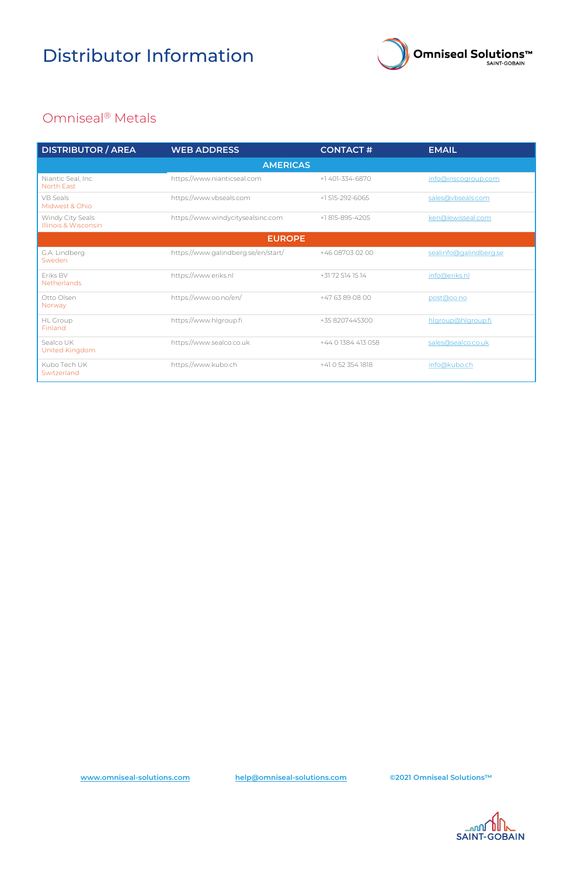



## Distributor Information

| <b>DISTRIBUTOR / AREA</b>                | <b>WEB ADDRESS</b>                  | <b>CONTACT#</b>     | <b>EMAIL</b>           |  |
|------------------------------------------|-------------------------------------|---------------------|------------------------|--|
| <b>AMERICAS</b>                          |                                     |                     |                        |  |
| Niantic Seal, Inc.<br><b>North East</b>  | https://www.nianticseal.com         | +1 401-334-6870     | info@inscogroup.com    |  |
| <b>VB</b> Seals<br>Midwest & Ohio        | https://www.vbseals.com             | +1 515-292-6065     | sales@vbseals.com      |  |
| Windy City Seals<br>Illinois & Wisconsin | https://www.windycitysealsinc.com   | +1815-895-4205      | ken@lewisseal.com      |  |
| <b>EUROPE</b>                            |                                     |                     |                        |  |
| G.A. Lindberg<br>Sweden                  | https://www.galindberg.se/en/start/ | +46 08703 02 00     | sealinfo@galindberg.se |  |
| Eriks BV<br>Netherlands                  | https://www.eriks.nl                | +31 72 514 15 14    | info@eriks.nl          |  |
| Otto Olsen<br>Norway                     | https://www.oo.no/en/               | +47 63 89 08 00     | post@oo.no             |  |
| <b>HL</b> Group<br>Finland               | https://www.hlgroup.fi              | +35 8207445300      | hlgroup@hlgroup.fi     |  |
| Sealco UK<br>United Kingdom              | https://www.sealco.co.uk            | +44 0 1384 413 058  | sales@sealco.co.uk     |  |
| Kubo Tech UK<br>Switzerland              | https://www.kubo.ch                 | $+41$ O 52 354 1818 | info@kubo.ch           |  |

### Omniseal® Metals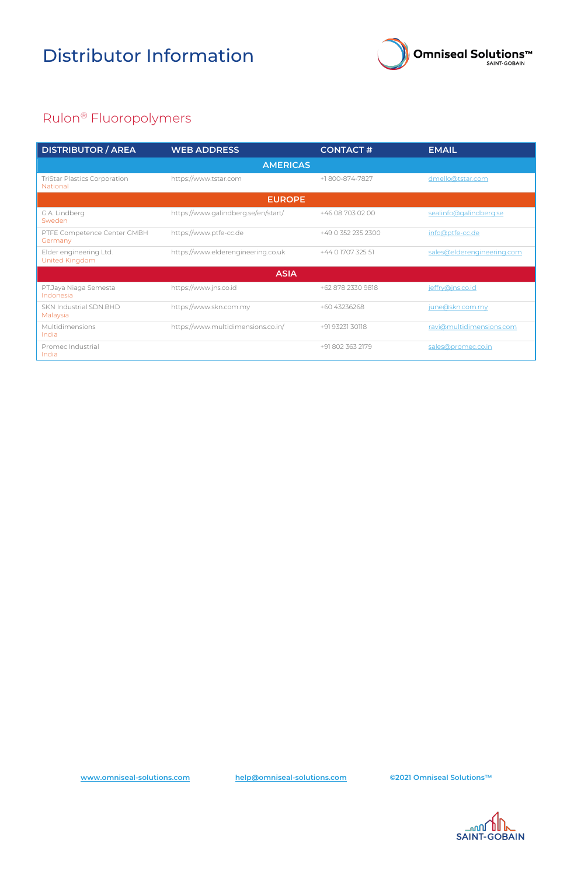



# Distributor Information

| <b>DISTRIBUTOR / AREA</b>                              | <b>WEB ADDRESS</b>                  | <b>CONTACT#</b>    | <b>EMAIL</b>               |
|--------------------------------------------------------|-------------------------------------|--------------------|----------------------------|
| <b>AMERICAS</b>                                        |                                     |                    |                            |
| <b>TriStar Plastics Corporation</b><br><b>National</b> | https://www.tstar.com               | +1800-874-7827     | dmello@tstar.com           |
| <b>EUROPE</b>                                          |                                     |                    |                            |
| G.A. Lindberg<br>Sweden                                | https://www.galindberg.se/en/start/ | +46 08 703 02 00   | sealinfo@galindberg.se     |
| PTFE Competence Center GMBH<br>Germany                 | https://www.ptfe-cc.de              | +49 0 352 235 2300 | info@ptfe-cc.de            |
| Elder engineering Ltd.<br>United Kingdom               | https://www.elderengineering.co.uk  | +44 0 1707 325 51  | sales@elderengineering.com |
| <b>ASIA</b>                                            |                                     |                    |                            |
| PT.Jaya Niaga Semesta<br>Indonesia                     | https://www.jns.co.id               | +62 878 2330 9818  | jeffry@jns.co.id           |
| SKN Industrial SDN.BHD<br>Malaysia                     | https://www.skn.com.my              | +60 43236268       | june@skn.com.my            |
| Multidimensions<br>India                               | https://www.multidimensions.co.in/  | +91 93231 30118    | ravi@multidimensions.com   |
| Promec Industrial<br>India                             |                                     | +91 802 363 2179   | sales@promec.co.in         |

### Rulon® Fluoropolymers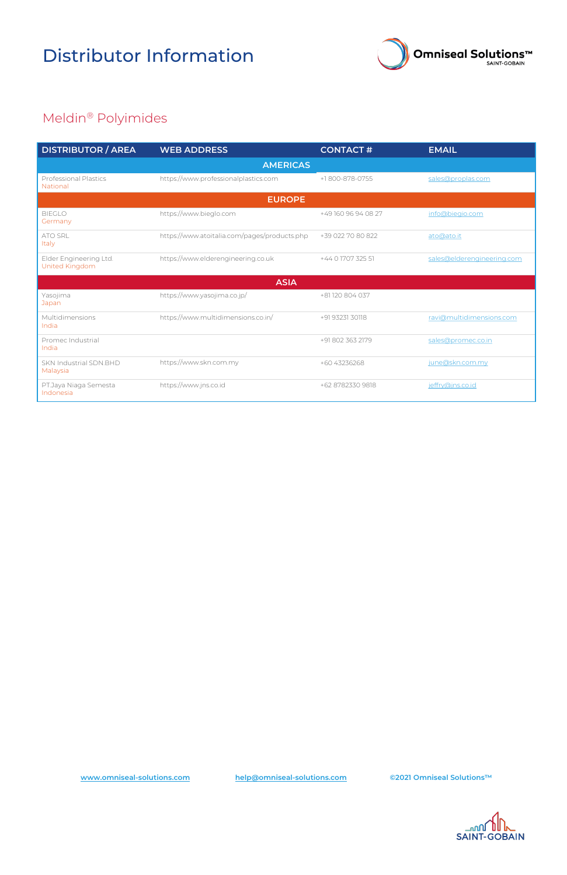



# Distributor Information

| <b>DISTRIBUTOR / AREA</b>                | <b>WEB ADDRESS</b>                           | <b>CONTACT#</b>     | <b>EMAIL</b>               |  |
|------------------------------------------|----------------------------------------------|---------------------|----------------------------|--|
|                                          | <b>AMERICAS</b>                              |                     |                            |  |
| <b>Professional Plastics</b><br>National | https://www.professionalplastics.com         | +1800-878-0755      | sales@proplas.com          |  |
|                                          | <b>EUROPE</b>                                |                     |                            |  |
| <b>BIEGLO</b><br>Germany                 | https://www.bieglo.com                       | +49 160 96 94 08 27 | info@biegio.com            |  |
| <b>ATO SRL</b><br>Italy                  | https://www.atoitalia.com/pages/products.php | +39 022 70 80 822   | ato@ato.it                 |  |
| Elder Engineering Ltd.<br>United Kingdom | https://www.elderengineering.co.uk           | +44 0 1707 325 51   | sales@elderengineering.com |  |
|                                          | <b>ASIA</b>                                  |                     |                            |  |
| Yasojima<br>Japan                        | https://www.yasojima.co.jp/                  | +81 120 804 037     |                            |  |
| Multidimensions<br>India                 | https://www.multidimensions.co.in/           | +91 93231 30118     | ravi@multidimensions.com   |  |
| Promec Industrial<br>India               |                                              | +91 802 363 2179    | sales@promec.co.in         |  |
| SKN Industrial SDN.BHD<br>Malaysia       | https://www.skn.com.my                       | +60 43236268        | june@skn.com.my            |  |
| PT.Jaya Niaga Semesta<br>Indonesia       | https://www.jns.co.id                        | +62 8782330 9818    | jeffry@jns.co.id           |  |

### Meldin® Polyimides